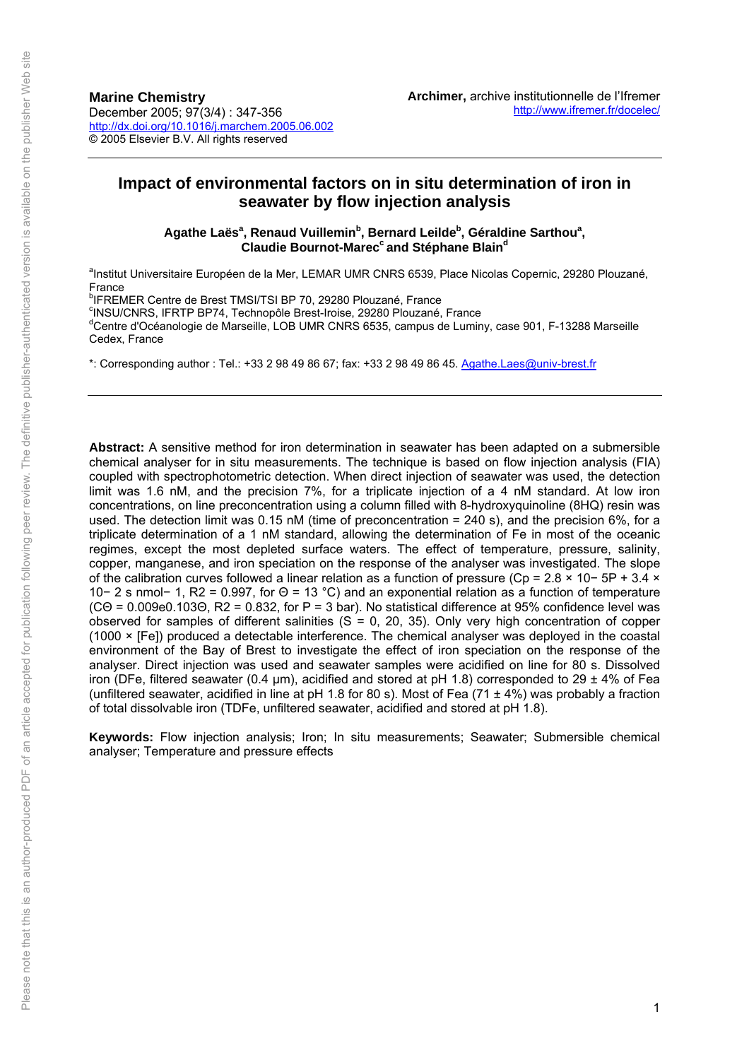# **Impact of environmental factors on in situ determination of iron in seawater by flow injection analysis**

Agathe Laës<sup>a</sup>, Renaud Vuillemin<sup>b</sup>, Bernard Leilde<sup>b</sup>, Géraldine Sarthou<sup>a</sup>, **Claudie Bournot-Marec<sup>c</sup> and Stéphane Blain<sup>d</sup>** 

<sup>a</sup>Institut Universitaire Européen de la Mer, LEMAR UMR CNRS 6539, Place Nicolas Copernic, 29280 Plouzané, France

<sup>b</sup>IFREMER Centre de Brest TMSI/TSI BP 70, 29280 Plouzané, France

<sup>c</sup>INSU/CNRS, IFRTP BP74, Technopôle Brest-Iroise, 29280 Plouzané, France<br><sup>d</sup>Centre d'Océanologie de Marceille, LOB UMB CNRS 6535, compus de Lumin

<sup>d</sup>Centre d'Océanologie de Marseille, LOB UMR CNRS 6535, campus de Luminy, case 901, F-13288 Marseille Cedex, France

\*: Corresponding author : Tel.: +33 2 98 49 86 67; fax: +33 2 98 49 86 45. Agathe.Laes@univ-brest.fr

**Abstract:** A sensitive method for iron determination in seawater h[as been adapted on a subm](mailto:Agathe.Laes@univ-brest.fr)ersible chemical analyser for in situ measurements. The technique is based on flow injection analysis (FIA) coupled with spectrophotometric detection. When direct injection of seawater was used, the detection limit was 1.6 nM, and the precision 7%, for a triplicate injection of a 4 nM standard. At low iron concentrations, on line preconcentration using a column filled with 8-hydroxyquinoline (8HQ) resin was used. The detection limit was 0.15 nM (time of preconcentration = 240 s), and the precision 6%, for a triplicate determination of a 1 nM standard, allowing the determination of Fe in most of the oceanic regimes, except the most depleted surface waters. The effect of temperature, pressure, salinity, copper, manganese, and iron speciation on the response of the analyser was investigated. The slope of the calibration curves followed a linear relation as a function of pressure (Cp = 2.8 × 10− 5P + 3.4 × 10− 2 s nmol− 1, R2 = 0.997, for Θ = 13 °C) and an exponential relation as a function of temperature (CΘ = 0.009e0.103Θ, R2 = 0.832, for P = 3 bar). No statistical difference at 95% confidence level was observed for samples of different salinities ( $S = 0$ , 20, 35). Only very high concentration of copper (1000 × [Fe]) produced a detectable interference. The chemical analyser was deployed in the coastal environment of the Bay of Brest to investigate the effect of iron speciation on the response of the analyser. Direct injection was used and seawater samples were acidified on line for 80 s. Dissolved iron (DFe, filtered seawater (0.4  $\mu$ m), acidified and stored at pH 1.8) corresponded to 29 ± 4% of Fea (unfiltered seawater, acidified in line at pH 1.8 for 80 s). Most of Fea (71  $\pm$  4%) was probably a fraction of total dissolvable iron (TDFe, unfiltered seawater, acidified and stored at pH 1.8).

**Keywords:** Flow injection analysis; Iron; In situ measurements; Seawater; Submersible chemical analyser; Temperature and pressure effects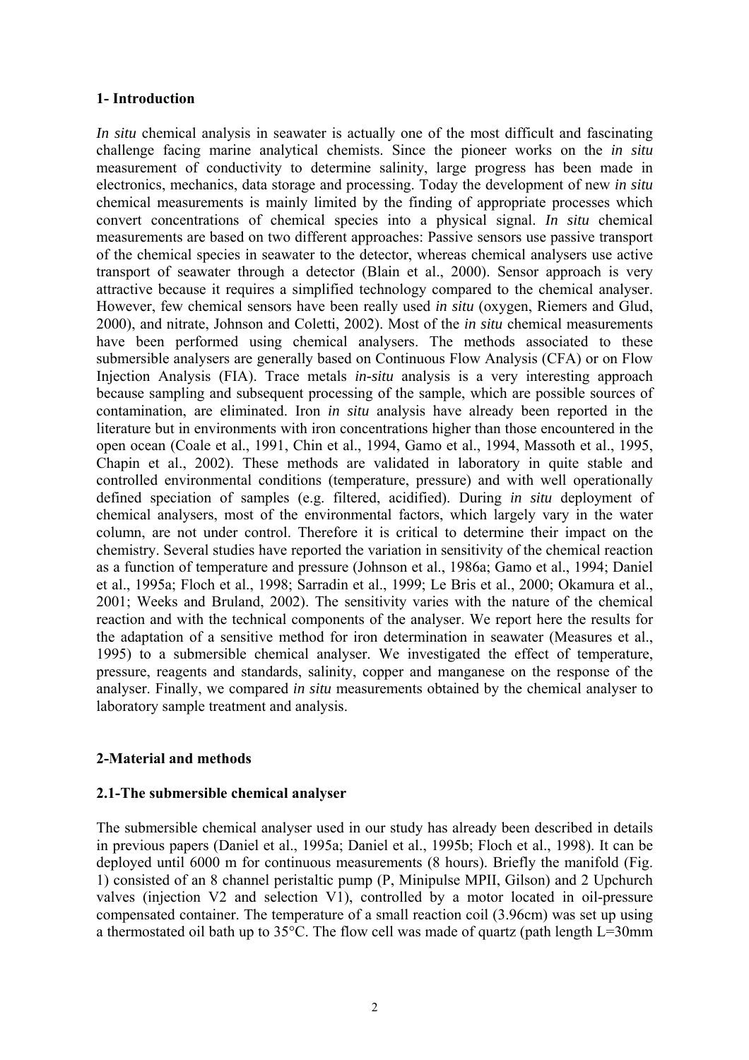### **1- Introduction**

*In situ* chemical analysis in seawater is actually one of the most difficult and fascinating challenge facing marine analytical chemists. Since the pioneer works on the *in situ* measurement of conductivity to determine salinity, large progress has been made in electronics, mechanics, data storage and processing. Today the development of new *in situ* chemical measurements is mainly limited by the finding of appropriate processes which convert concentrations of chemical species into a physical signal. *In situ* chemical measurements are based on two different approaches: Passive sensors use passive transport of the chemical species in seawater to the detector, whereas chemical analysers use active transport of seawater through a detector (Blain et al., 2000). Sensor approach is very attractive because it requires a simplified technology compared to the chemical analyser. However, few chemical sensors have been really used *in situ* (oxygen, Riemers and Glud, 2000), and nitrate, Johnson and Coletti, 2002). Most of the *in situ* chemical measurements have been performed using chemical analysers. The methods associated to these submersible analysers are generally based on Continuous Flow Analysis (CFA) or on Flow Injection Analysis (FIA). Trace metals *in-situ* analysis is a very interesting approach because sampling and subsequent processing of the sample, which are possible sources of contamination, are eliminated. Iron *in situ* analysis have already been reported in the literature but in environments with iron concentrations higher than those encountered in the open ocean (Coale et al., 1991, Chin et al., 1994, Gamo et al., 1994, Massoth et al., 1995, Chapin et al., 2002). These methods are validated in laboratory in quite stable and controlled environmental conditions (temperature, pressure) and with well operationally defined speciation of samples (e.g. filtered, acidified). During *in situ* deployment of chemical analysers, most of the environmental factors, which largely vary in the water column, are not under control. Therefore it is critical to determine their impact on the chemistry. Several studies have reported the variation in sensitivity of the chemical reaction as a function of temperature and pressure (Johnson et al., 1986a; Gamo et al., 1994; Daniel et al., 1995a; Floch et al., 1998; Sarradin et al., 1999; Le Bris et al., 2000; Okamura et al., 2001; Weeks and Bruland, 2002). The sensitivity varies with the nature of the chemical reaction and with the technical components of the analyser. We report here the results for the adaptation of a sensitive method for iron determination in seawater (Measures et al., 1995) to a submersible chemical analyser. We investigated the effect of temperature, pressure, reagents and standards, salinity, copper and manganese on the response of the analyser. Finally, we compared *in situ* measurements obtained by the chemical analyser to laboratory sample treatment and analysis.

# **2-Material and methods**

### **2.1-The submersible chemical analyser**

The submersible chemical analyser used in our study has already been described in details in previous papers (Daniel et al., 1995a; Daniel et al., 1995b; Floch et al., 1998). It can be deployed until 6000 m for continuous measurements (8 hours). Briefly the manifold (Fig. 1) consisted of an 8 channel peristaltic pump (P, Minipulse MPII, Gilson) and 2 Upchurch valves (injection V2 and selection V1), controlled by a motor located in oil-pressure compensated container. The temperature of a small reaction coil (3.96cm) was set up using a thermostated oil bath up to 35°C. The flow cell was made of quartz (path length L=30mm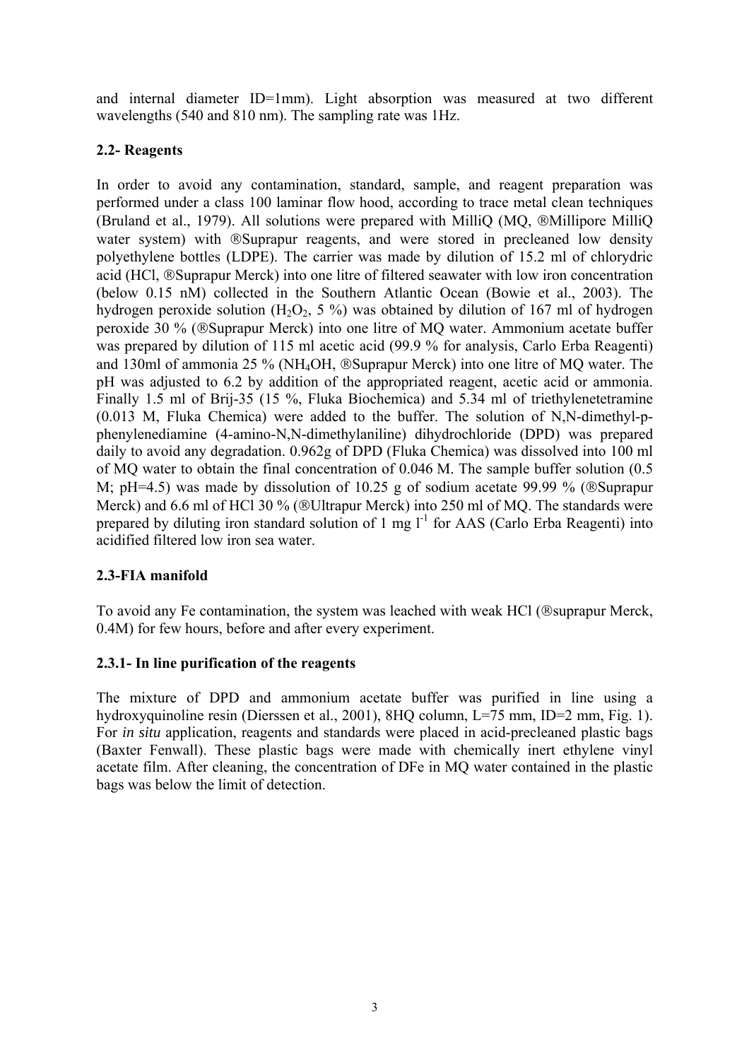and internal diameter ID=1mm). Light absorption was measured at two different wavelengths (540 and 810 nm). The sampling rate was 1Hz.

# **2.2- Reagents**

In order to avoid any contamination, standard, sample, and reagent preparation was performed under a class 100 laminar flow hood, according to trace metal clean techniques (Bruland et al., 1979). All solutions were prepared with MilliQ (MQ, ®Millipore MilliQ water system) with ®Suprapur reagents, and were stored in precleaned low density polyethylene bottles (LDPE). The carrier was made by dilution of 15.2 ml of chlorydric acid (HCl, ®Suprapur Merck) into one litre of filtered seawater with low iron concentration (below 0.15 nM) collected in the Southern Atlantic Ocean (Bowie et al., 2003). The hydrogen peroxide solution  $(H_2O_2, 5 \%)$  was obtained by dilution of 167 ml of hydrogen peroxide 30 % (®Suprapur Merck) into one litre of MQ water. Ammonium acetate buffer was prepared by dilution of 115 ml acetic acid (99.9 % for analysis, Carlo Erba Reagenti) and 130ml of ammonia 25 % (NH4OH, ®Suprapur Merck) into one litre of MQ water. The pH was adjusted to 6.2 by addition of the appropriated reagent, acetic acid or ammonia. Finally 1.5 ml of Brij-35 (15 %, Fluka Biochemica) and 5.34 ml of triethylenetetramine (0.013 M, Fluka Chemica) were added to the buffer. The solution of N,N-dimethyl-pphenylenediamine (4-amino-N,N-dimethylaniline) dihydrochloride (DPD) was prepared daily to avoid any degradation. 0.962g of DPD (Fluka Chemica) was dissolved into 100 ml of MQ water to obtain the final concentration of 0.046 M. The sample buffer solution (0.5 M; pH=4.5) was made by dissolution of 10.25 g of sodium acetate 99.99 % (®Suprapur Merck) and 6.6 ml of HCl 30 % (®Ultrapur Merck) into 250 ml of MQ. The standards were prepared by diluting iron standard solution of 1 mg  $l^{-1}$  for AAS (Carlo Erba Reagenti) into acidified filtered low iron sea water.

# **2.3-FIA manifold**

To avoid any Fe contamination, the system was leached with weak HCl (®suprapur Merck, 0.4M) for few hours, before and after every experiment.

# **2.3.1- In line purification of the reagents**

The mixture of DPD and ammonium acetate buffer was purified in line using a hydroxyquinoline resin (Dierssen et al., 2001), 8HQ column, L=75 mm, ID=2 mm, Fig. 1). For *in situ* application, reagents and standards were placed in acid-precleaned plastic bags (Baxter Fenwall). These plastic bags were made with chemically inert ethylene vinyl acetate film. After cleaning, the concentration of DFe in MQ water contained in the plastic bags was below the limit of detection.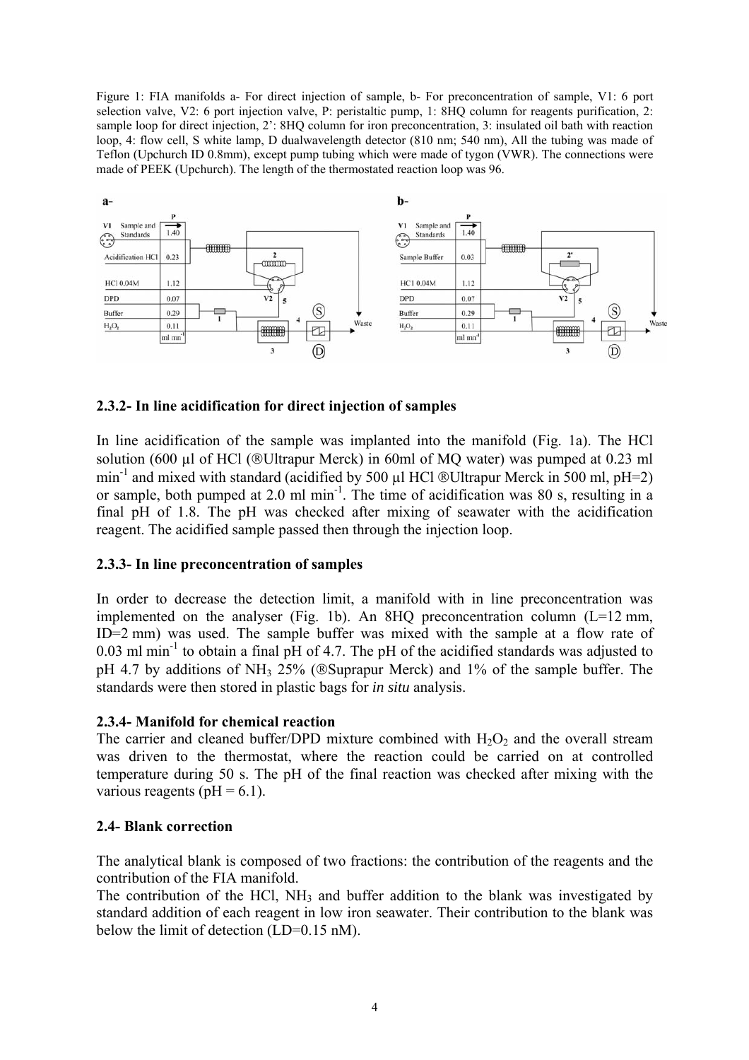Figure 1: FIA manifolds a- For direct injection of sample, b- For preconcentration of sample, V1: 6 port selection valve, V2: 6 port injection valve, P: peristaltic pump, 1: 8HQ column for reagents purification, 2: sample loop for direct injection, 2': 8HQ column for iron preconcentration, 3: insulated oil bath with reaction loop, 4: flow cell, S white lamp, D dualwavelength detector (810 nm; 540 nm), All the tubing was made of Teflon (Upchurch ID 0.8mm), except pump tubing which were made of tygon (VWR). The connections were made of PEEK (Upchurch). The length of the thermostated reaction loop was 96.



### **2.3.2- In line acidification for direct injection of samples**

In line acidification of the sample was implanted into the manifold (Fig. 1a). The HCl solution (600  $\mu$ l of HCl (®Ultrapur Merck) in 60ml of MQ water) was pumped at 0.23 ml min<sup>-1</sup> and mixed with standard (acidified by 500  $\mu$ l HCl ®Ultrapur Merck in 500 ml, pH=2) or sample, both pumped at 2.0 ml min-1. The time of acidification was 80 s, resulting in a final pH of 1.8. The pH was checked after mixing of seawater with the acidification reagent. The acidified sample passed then through the injection loop.

### **2.3.3- In line preconcentration of samples**

In order to decrease the detection limit, a manifold with in line preconcentration was implemented on the analyser (Fig. 1b). An 8HQ preconcentration column  $(L=12 \text{ mm})$ , ID=2 mm) was used. The sample buffer was mixed with the sample at a flow rate of  $0.03$  ml min<sup>-1</sup> to obtain a final pH of 4.7. The pH of the acidified standards was adjusted to pH 4.7 by additions of NH<sub>3</sub> 25% (®Suprapur Merck) and 1% of the sample buffer. The standards were then stored in plastic bags for *in situ* analysis.

### **2.3.4- Manifold for chemical reaction**

The carrier and cleaned buffer/DPD mixture combined with  $H_2O_2$  and the overall stream was driven to the thermostat, where the reaction could be carried on at controlled temperature during 50 s. The pH of the final reaction was checked after mixing with the various reagents ( $pH = 6.1$ ).

#### **2.4- Blank correction**

The analytical blank is composed of two fractions: the contribution of the reagents and the contribution of the FIA manifold.

The contribution of the HCl, NH<sub>3</sub> and buffer addition to the blank was investigated by standard addition of each reagent in low iron seawater. Their contribution to the blank was below the limit of detection (LD=0.15 nM).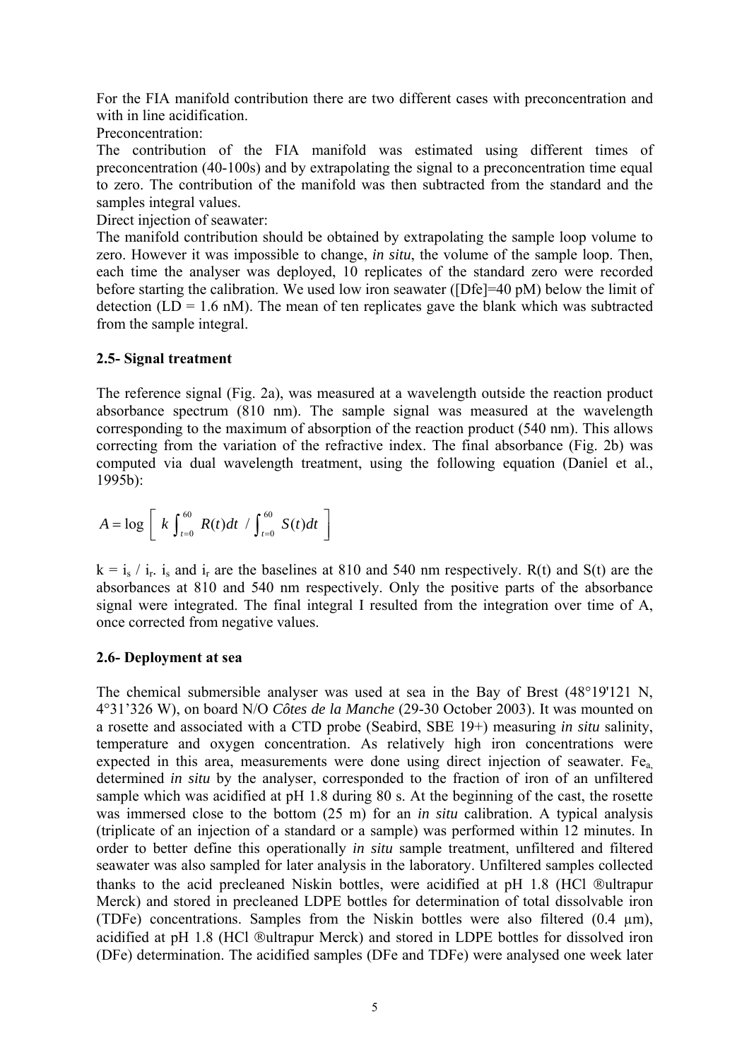For the FIA manifold contribution there are two different cases with preconcentration and with in line acidification.

Preconcentration:

The contribution of the FIA manifold was estimated using different times of preconcentration (40-100s) and by extrapolating the signal to a preconcentration time equal to zero. The contribution of the manifold was then subtracted from the standard and the samples integral values.

Direct injection of seawater:

The manifold contribution should be obtained by extrapolating the sample loop volume to zero. However it was impossible to change, *in situ*, the volume of the sample loop. Then, each time the analyser was deployed, 10 replicates of the standard zero were recorded before starting the calibration. We used low iron seawater ([Dfe]=40 pM) below the limit of detection  $(LD = 1.6 \text{ nM})$ . The mean of ten replicates gave the blank which was subtracted from the sample integral.

### **2.5- Signal treatment**

The reference signal (Fig. 2a), was measured at a wavelength outside the reaction product absorbance spectrum (810 nm). The sample signal was measured at the wavelength corresponding to the maximum of absorption of the reaction product (540 nm). This allows correcting from the variation of the refractive index. The final absorbance (Fig. 2b) was computed via dual wavelength treatment, using the following equation (Daniel et al., 1995b):

$$
A = \log \left[ k \int_{t=0}^{60} R(t) dt / \int_{t=0}^{60} S(t) dt \right]
$$

 $k = i_s / i_r$ , i<sub>s</sub> and i<sub>r</sub> are the baselines at 810 and 540 nm respectively. R(t) and S(t) are the absorbances at 810 and 540 nm respectively. Only the positive parts of the absorbance signal were integrated. The final integral I resulted from the integration over time of A, once corrected from negative values.

### **2.6- Deployment at sea**

The chemical submersible analyser was used at sea in the Bay of Brest (48°19'121 N, 4°31'326 W), on board N/O *Côtes de la Manche* (29-30 October 2003). It was mounted on a rosette and associated with a CTD probe (Seabird, SBE 19+) measuring *in situ* salinity, temperature and oxygen concentration. As relatively high iron concentrations were expected in this area, measurements were done using direct injection of seawater. Fe<sub>a</sub> determined *in situ* by the analyser, corresponded to the fraction of iron of an unfiltered sample which was acidified at pH 1.8 during 80 s. At the beginning of the cast, the rosette was immersed close to the bottom (25 m) for an *in situ* calibration. A typical analysis (triplicate of an injection of a standard or a sample) was performed within 12 minutes. In order to better define this operationally *in situ* sample treatment, unfiltered and filtered seawater was also sampled for later analysis in the laboratory. Unfiltered samples collected thanks to the acid precleaned Niskin bottles, were acidified at pH 1.8 (HCl ®ultrapur Merck) and stored in precleaned LDPE bottles for determination of total dissolvable iron (TDFe) concentrations. Samples from the Niskin bottles were also filtered (0.4 µm), acidified at pH 1.8 (HCl ®ultrapur Merck) and stored in LDPE bottles for dissolved iron (DFe) determination. The acidified samples (DFe and TDFe) were analysed one week later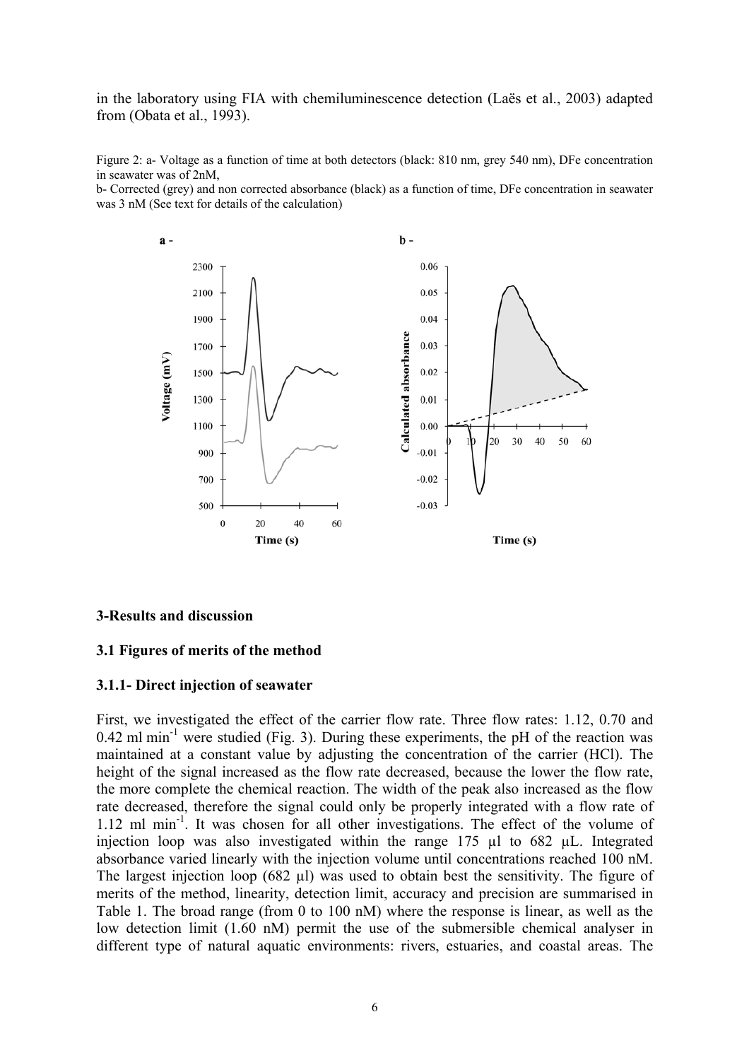in the laboratory using FIA with chemiluminescence detection (Laës et al., 2003) adapted from (Obata et al., 1993).

Figure 2: a- Voltage as a function of time at both detectors (black: 810 nm, grey 540 nm), DFe concentration in seawater was of 2nM,

b- Corrected (grey) and non corrected absorbance (black) as a function of time, DFe concentration in seawater was 3 nM (See text for details of the calculation)



#### **3-Results and discussion**

#### **3.1 Figures of merits of the method**

#### **3.1.1- Direct injection of seawater**

First, we investigated the effect of the carrier flow rate. Three flow rates: 1.12, 0.70 and  $0.42$  ml min<sup>-1</sup> were studied (Fig. 3). During these experiments, the pH of the reaction was maintained at a constant value by adjusting the concentration of the carrier (HCl). The height of the signal increased as the flow rate decreased, because the lower the flow rate, the more complete the chemical reaction. The width of the peak also increased as the flow rate decreased, therefore the signal could only be properly integrated with a flow rate of 1.12 ml min<sup>-1</sup>. It was chosen for all other investigations. The effect of the volume of injection loop was also investigated within the range 175 µl to 682 µL. Integrated absorbance varied linearly with the injection volume until concentrations reached 100 nM. The largest injection loop (682 µl) was used to obtain best the sensitivity. The figure of merits of the method, linearity, detection limit, accuracy and precision are summarised in Table 1. The broad range (from 0 to 100 nM) where the response is linear, as well as the low detection limit (1.60 nM) permit the use of the submersible chemical analyser in different type of natural aquatic environments: rivers, estuaries, and coastal areas. The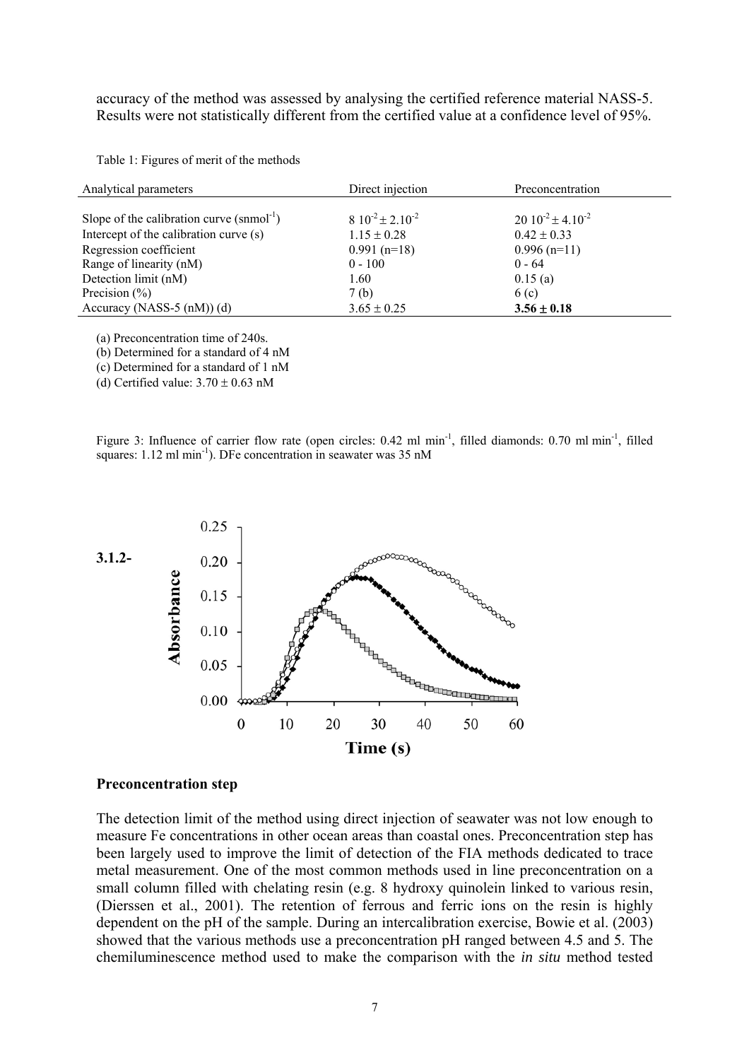accuracy of the method was assessed by analysing the certified reference material NASS-5. Results were not statistically different from the certified value at a confidence level of 95%.

Table 1: Figures of merit of the methods

| Analytical parameters                                  | Direct injection          | Preconcentration             |  |
|--------------------------------------------------------|---------------------------|------------------------------|--|
|                                                        |                           |                              |  |
| Slope of the calibration curve $(s n \text{mol}^{-1})$ | $8.10^{-2} \pm 2.10^{-2}$ | $20 \ 10^{-2} \pm 4.10^{-2}$ |  |
| Intercept of the calibration curve (s)                 | $1.15 \pm 0.28$           | $0.42 \pm 0.33$              |  |
| Regression coefficient                                 | $0.991$ (n=18)            | $0.996$ (n=11)               |  |
| Range of linearity (nM)                                | $0 - 100$                 | $0 - 64$                     |  |
| Detection limit (nM)                                   | 1.60                      | 0.15(a)                      |  |
| Precision $(\% )$                                      | 7(b)                      | 6(c)                         |  |
| Accuracy (NASS-5 $(nM)$ ) (d)                          | $3.65 \pm 0.25$           | $3.56 \pm 0.18$              |  |

(a) Preconcentration time of 240s.

(b) Determined for a standard of 4 nM

(c) Determined for a standard of 1 nM

(d) Certified value:  $3.70 \pm 0.63$  nM

Figure 3: Influence of carrier flow rate (open circles: 0.42 ml min<sup>-1</sup>, filled diamonds: 0.70 ml min<sup>-1</sup>, filled squares: 1.12 ml min<sup>-1</sup>). DFe concentration in seawater was 35 nM



#### **Preconcentration step**

The detection limit of the method using direct injection of seawater was not low enough to measure Fe concentrations in other ocean areas than coastal ones. Preconcentration step has been largely used to improve the limit of detection of the FIA methods dedicated to trace metal measurement. One of the most common methods used in line preconcentration on a small column filled with chelating resin (e.g. 8 hydroxy quinolein linked to various resin, (Dierssen et al., 2001). The retention of ferrous and ferric ions on the resin is highly dependent on the pH of the sample. During an intercalibration exercise, Bowie et al. (2003) showed that the various methods use a preconcentration pH ranged between 4.5 and 5. The chemiluminescence method used to make the comparison with the *in situ* method tested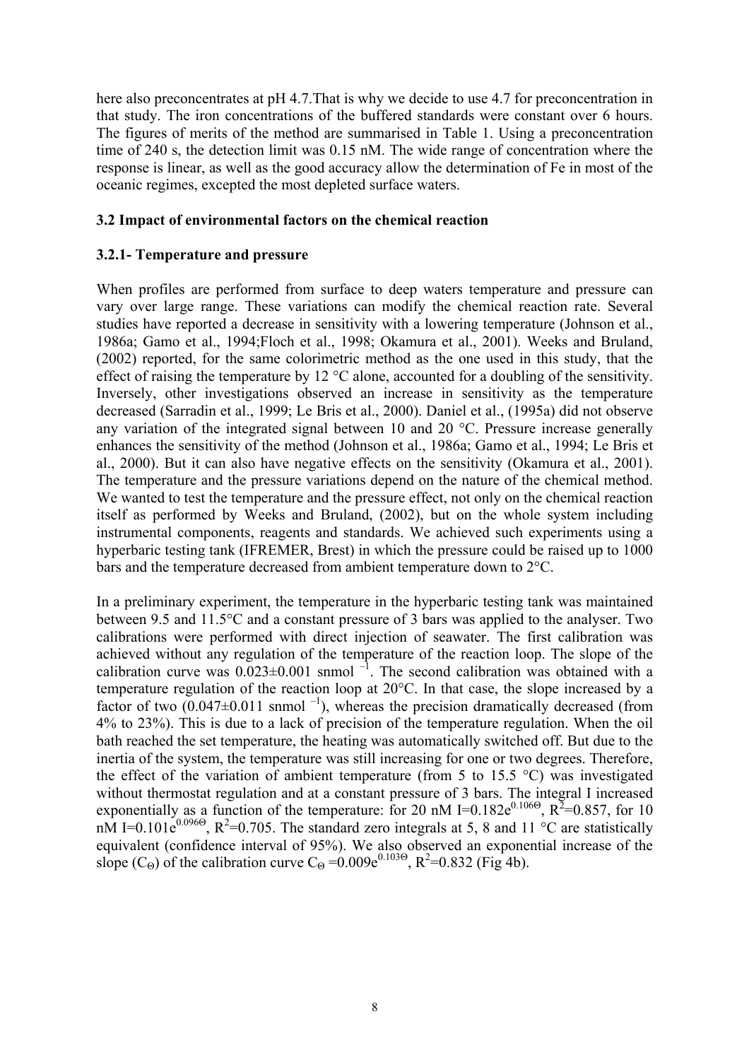here also preconcentrates at pH 4.7.That is why we decide to use 4.7 for preconcentration in that study. The iron concentrations of the buffered standards were constant over 6 hours. The figures of merits of the method are summarised in Table 1. Using a preconcentration time of 240 s, the detection limit was 0.15 nM. The wide range of concentration where the response is linear, as well as the good accuracy allow the determination of Fe in most of the oceanic regimes, excepted the most depleted surface waters.

### **3.2 Impact of environmental factors on the chemical reaction**

### **3.2.1- Temperature and pressure**

When profiles are performed from surface to deep waters temperature and pressure can vary over large range. These variations can modify the chemical reaction rate. Several studies have reported a decrease in sensitivity with a lowering temperature (Johnson et al., 1986a; Gamo et al., 1994;Floch et al., 1998; Okamura et al., 2001). Weeks and Bruland, (2002) reported, for the same colorimetric method as the one used in this study, that the effect of raising the temperature by 12 °C alone, accounted for a doubling of the sensitivity. Inversely, other investigations observed an increase in sensitivity as the temperature decreased (Sarradin et al., 1999; Le Bris et al., 2000). Daniel et al., (1995a) did not observe any variation of the integrated signal between 10 and 20 °C. Pressure increase generally enhances the sensitivity of the method (Johnson et al., 1986a; Gamo et al., 1994; Le Bris et al., 2000). But it can also have negative effects on the sensitivity (Okamura et al., 2001). The temperature and the pressure variations depend on the nature of the chemical method. We wanted to test the temperature and the pressure effect, not only on the chemical reaction itself as performed by Weeks and Bruland, (2002), but on the whole system including instrumental components, reagents and standards. We achieved such experiments using a hyperbaric testing tank (IFREMER, Brest) in which the pressure could be raised up to 1000 bars and the temperature decreased from ambient temperature down to 2°C.

In a preliminary experiment, the temperature in the hyperbaric testing tank was maintained between 9.5 and 11.5°C and a constant pressure of 3 bars was applied to the analyser. Two calibrations were performed with direct injection of seawater. The first calibration was achieved without any regulation of the temperature of the reaction loop. The slope of the calibration curve was  $0.023 \pm 0.001$  snmol  $^{-1}$ . The second calibration was obtained with a temperature regulation of the reaction loop at 20°C. In that case, the slope increased by a factor of two  $(0.047 \pm 0.011$  snmol<sup>-1</sup>), whereas the precision dramatically decreased (from 4% to 23%). This is due to a lack of precision of the temperature regulation. When the oil bath reached the set temperature, the heating was automatically switched off. But due to the inertia of the system, the temperature was still increasing for one or two degrees. Therefore, the effect of the variation of ambient temperature (from 5 to 15.5  $\degree$ C) was investigated without thermostat regulation and at a constant pressure of 3 bars. The integral I increased exponentially as a function of the temperature: for 20 nM I=0.182e<sup>0.1060</sup>,  $R^2$ =0.857, for 10 nM I=0.101 $e^{0.096\Theta}$ , R<sup>2</sup>=0.705. The standard zero integrals at 5, 8 and 11 °C are statistically equivalent (confidence interval of 95%). We also observed an exponential increase of the slope (C<sub>Θ</sub>) of the calibration curve C<sub>Θ</sub> = 0.009e<sup>0.103Θ</sup>, R<sup>2</sup>=0.832 (Fig 4b).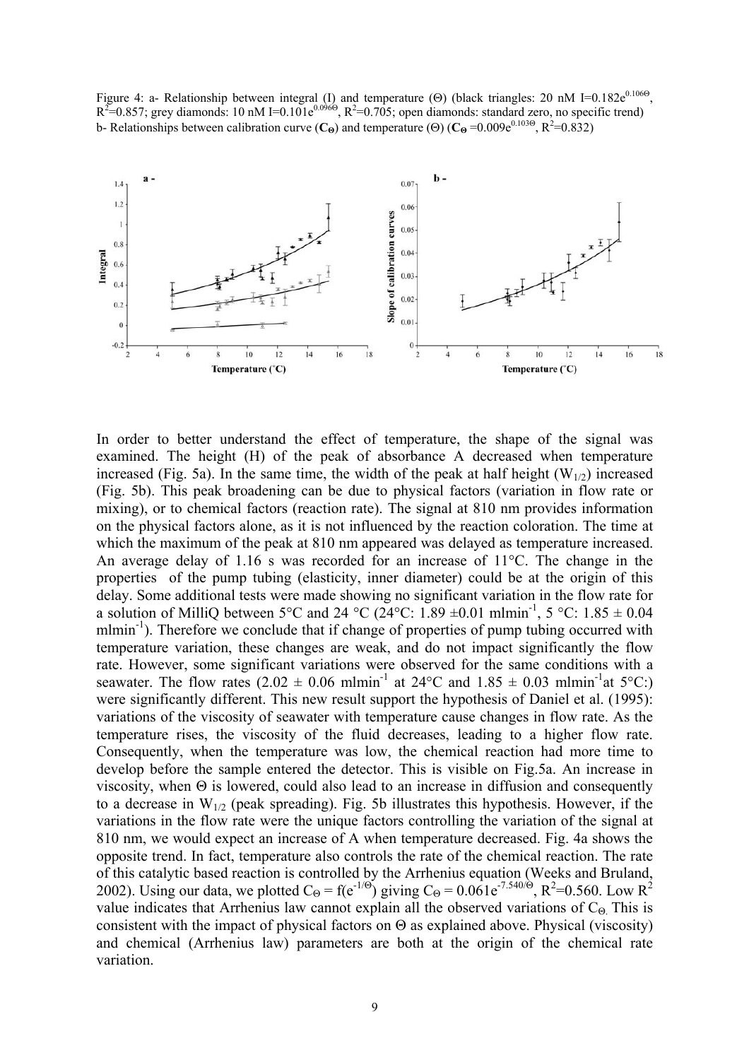Figure 4: a- Relationship between integral (I) and temperature (Θ) (black triangles: 20 nM I=0.182e<sup>0.106Θ</sup>,  $R^2$ =0.857; grey diamonds: 10 nM I=0.101e<sup>0.0960</sup>,  $R^2$ =0.705; open diamonds: standard zero, no specific trend) b- Relationships between calibration curve (C<sub>Θ</sub>) and temperature (Θ) (C<sub>Θ</sub> =0.009e<sup>0.103Θ</sup>, R<sup>2</sup>=0.832)



In order to better understand the effect of temperature, the shape of the signal was examined. The height (H) of the peak of absorbance A decreased when temperature increased (Fig. 5a). In the same time, the width of the peak at half height ( $W_{1/2}$ ) increased (Fig. 5b). This peak broadening can be due to physical factors (variation in flow rate or mixing), or to chemical factors (reaction rate). The signal at 810 nm provides information on the physical factors alone, as it is not influenced by the reaction coloration. The time at which the maximum of the peak at 810 nm appeared was delayed as temperature increased. An average delay of 1.16 s was recorded for an increase of 11°C. The change in the properties of the pump tubing (elasticity, inner diameter) could be at the origin of this delay. Some additional tests were made showing no significant variation in the flow rate for a solution of MilliQ between 5°C and 24 °C (24°C: 1.89  $\pm$ 0.01 mlmin<sup>-1</sup>, 5 °C: 1.85  $\pm$  0.04 mlmin<sup>-1</sup>). Therefore we conclude that if change of properties of pump tubing occurred with temperature variation, these changes are weak, and do not impact significantly the flow rate. However, some significant variations were observed for the same conditions with a seawater. The flow rates  $(2.02 \pm 0.06 \text{ m/min}^{-1})$  at  $24^{\circ}\text{C}$  and  $1.85 \pm 0.03 \text{ m/min}^{-1}$  at  $5^{\circ}\text{C}$ :) were significantly different. This new result support the hypothesis of Daniel et al. (1995): variations of the viscosity of seawater with temperature cause changes in flow rate. As the temperature rises, the viscosity of the fluid decreases, leading to a higher flow rate. Consequently, when the temperature was low, the chemical reaction had more time to develop before the sample entered the detector. This is visible on Fig.5a. An increase in viscosity, when Θ is lowered, could also lead to an increase in diffusion and consequently to a decrease in  $W_{1/2}$  (peak spreading). Fig. 5b illustrates this hypothesis. However, if the variations in the flow rate were the unique factors controlling the variation of the signal at 810 nm, we would expect an increase of A when temperature decreased. Fig. 4a shows the opposite trend. In fact, temperature also controls the rate of the chemical reaction. The rate of this catalytic based reaction is controlled by the Arrhenius equation (Weeks and Bruland, 2002). Using our data, we plotted  $C_{\Theta} = f(e^{-1/\Theta})$  giving  $C_{\Theta} = 0.061e^{-7.540/\Theta}$ ,  $R^2 = 0.560$ . Low  $R^2$ value indicates that Arrhenius law cannot explain all the observed variations of  $C_{\Theta}$ . This is consistent with the impact of physical factors on  $\Theta$  as explained above. Physical (viscosity) and chemical (Arrhenius law) parameters are both at the origin of the chemical rate variation.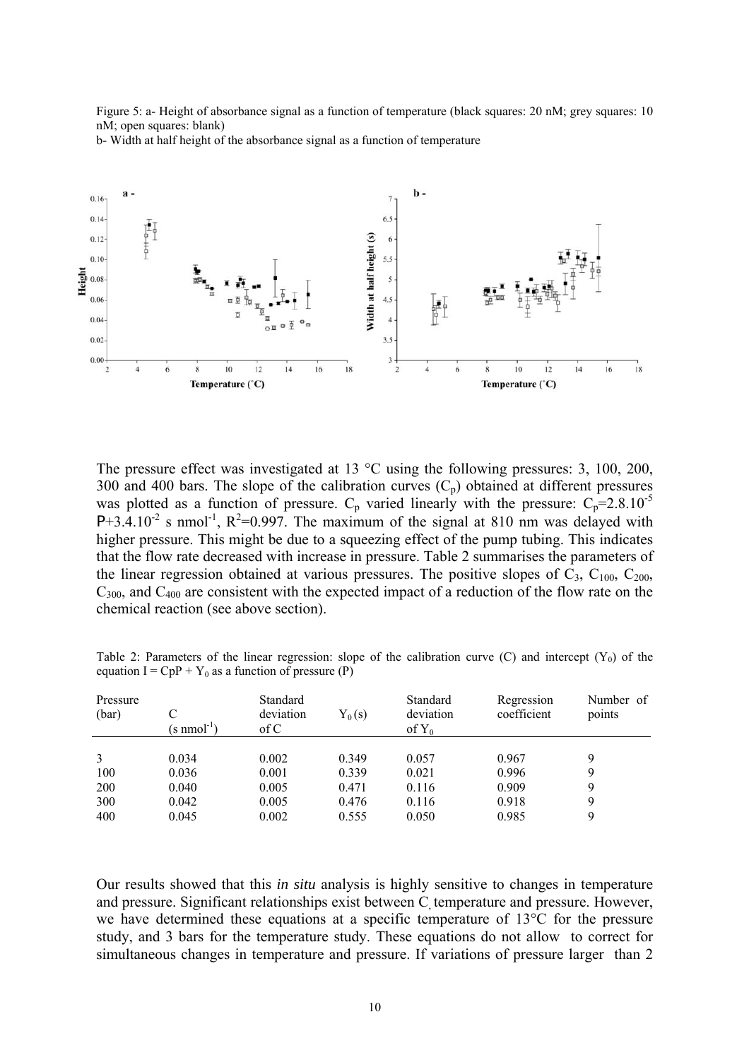Figure 5: a- Height of absorbance signal as a function of temperature (black squares: 20 nM; grey squares: 10 nM; open squares: blank)

b- Width at half height of the absorbance signal as a function of temperature



The pressure effect was investigated at 13 °C using the following pressures: 3, 100, 200, 300 and 400 bars. The slope of the calibration curves  $(C_p)$  obtained at different pressures was plotted as a function of pressure.  $C_p$  varied linearly with the pressure:  $C_p=2.8.10^{-5}$  $P+3.4.10^{-2}$  s nmol<sup>-1</sup>,  $R^2=0.997$ . The maximum of the signal at 810 nm was delayed with higher pressure. This might be due to a squeezing effect of the pump tubing. This indicates that the flow rate decreased with increase in pressure. Table 2 summarises the parameters of the linear regression obtained at various pressures. The positive slopes of  $C_3$ ,  $C_{100}$ ,  $C_{200}$ ,  $C_{300}$ , and  $C_{400}$  are consistent with the expected impact of a reduction of the flow rate on the chemical reaction (see above section).

| Table 2: Parameters of the linear regression: slope of the calibration curve (C) and intercept $(Y_0)$ of the |  |  |  |
|---------------------------------------------------------------------------------------------------------------|--|--|--|
| equation I = $CpP + Y_0$ as a function of pressure (P)                                                        |  |  |  |

| Pressure<br>(bar) | $(s \text{ nmol}^{-1})$ | Standard<br>deviation<br>of C | $Y_0(s)$ | Standard<br>deviation<br>of $Y_0$ | Regression<br>coefficient | Number of<br>points |
|-------------------|-------------------------|-------------------------------|----------|-----------------------------------|---------------------------|---------------------|
|                   |                         |                               |          |                                   |                           |                     |
| 3                 | 0.034                   | 0.002                         | 0.349    | 0.057                             | 0.967                     | Q                   |
| 100               | 0.036                   | 0.001                         | 0.339    | 0.021                             | 0.996                     | 9                   |
| <b>200</b>        | 0.040                   | 0.005                         | 0.471    | 0.116                             | 0.909                     | 9                   |
| 300               | 0.042                   | 0.005                         | 0.476    | 0.116                             | 0.918                     | 9                   |
| 400               | 0.045                   | 0.002                         | 0.555    | 0.050                             | 0.985                     | 9                   |

Our results showed that this *in situ* analysis is highly sensitive to changes in temperature and pressure. Significant relationships exist between C temperature and pressure. However, we have determined these equations at a specific temperature of 13°C for the pressure study, and 3 bars for the temperature study. These equations do not allow to correct for simultaneous changes in temperature and pressure. If variations of pressure larger than 2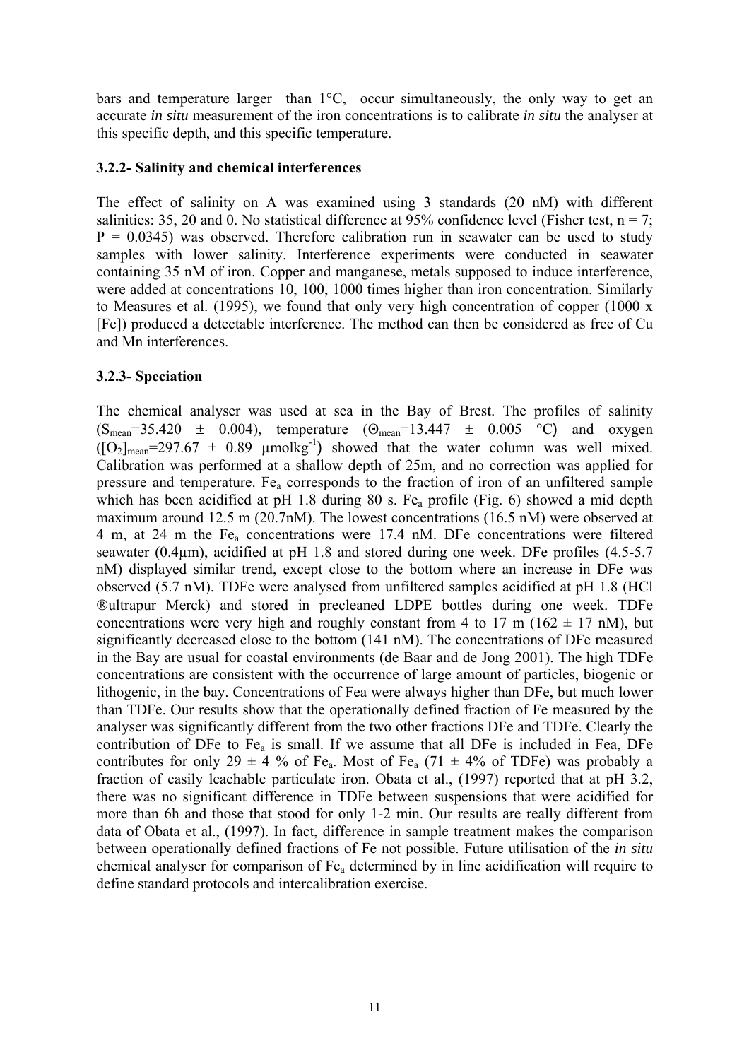bars and temperature larger than 1°C, occur simultaneously, the only way to get an accurate *in situ* measurement of the iron concentrations is to calibrate *in situ* the analyser at this specific depth, and this specific temperature.

### **3.2.2- Salinity and chemical interferences**

The effect of salinity on A was examined using 3 standards (20 nM) with different salinities: 35, 20 and 0. No statistical difference at 95% confidence level (Fisher test,  $n = 7$ ;  $P = 0.0345$ ) was observed. Therefore calibration run in seawater can be used to study samples with lower salinity. Interference experiments were conducted in seawater containing 35 nM of iron. Copper and manganese, metals supposed to induce interference, were added at concentrations 10, 100, 1000 times higher than iron concentration. Similarly to Measures et al. (1995), we found that only very high concentration of copper (1000 x [Fe]) produced a detectable interference. The method can then be considered as free of Cu and Mn interferences.

# **3.2.3- Speciation**

The chemical analyser was used at sea in the Bay of Brest. The profiles of salinity  $(S_{mean}=35.420 \pm 0.004)$ , temperature  $(\Theta_{mean}=13.447 \pm 0.005 \degree C)$  and oxygen  $([O_2]_{\text{mean}} = 297.67 \pm 0.89 \text{ \mu molkg}^{-1})$  showed that the water column was well mixed. Calibration was performed at a shallow depth of 25m, and no correction was applied for pressure and temperature. Fea corresponds to the fraction of iron of an unfiltered sample which has been acidified at pH 1.8 during 80 s. Fe<sub>a</sub> profile (Fig. 6) showed a mid depth maximum around 12.5 m (20.7nM). The lowest concentrations (16.5 nM) were observed at 4 m, at 24 m the Fea concentrations were 17.4 nM. DFe concentrations were filtered seawater (0.4µm), acidified at pH 1.8 and stored during one week. DFe profiles (4.5-5.7 nM) displayed similar trend, except close to the bottom where an increase in DFe was observed (5.7 nM). TDFe were analysed from unfiltered samples acidified at pH 1.8 (HCl ®ultrapur Merck) and stored in precleaned LDPE bottles during one week. TDFe concentrations were very high and roughly constant from 4 to 17 m ( $162 \pm 17$  nM), but significantly decreased close to the bottom (141 nM). The concentrations of DFe measured in the Bay are usual for coastal environments (de Baar and de Jong 2001). The high TDFe concentrations are consistent with the occurrence of large amount of particles, biogenic or lithogenic, in the bay. Concentrations of Fea were always higher than DFe, but much lower than TDFe. Our results show that the operationally defined fraction of Fe measured by the analyser was significantly different from the two other fractions DFe and TDFe. Clearly the contribution of DFe to  $Fe<sub>a</sub>$  is small. If we assume that all DFe is included in Fea, DFe contributes for only 29  $\pm$  4 % of Fe<sub>a</sub>. Most of Fe<sub>a</sub> (71  $\pm$  4% of TDFe) was probably a fraction of easily leachable particulate iron. Obata et al., (1997) reported that at pH 3.2, there was no significant difference in TDFe between suspensions that were acidified for more than 6h and those that stood for only 1-2 min. Our results are really different from data of Obata et al., (1997). In fact, difference in sample treatment makes the comparison between operationally defined fractions of Fe not possible. Future utilisation of the *in situ* chemical analyser for comparison of Fea determined by in line acidification will require to define standard protocols and intercalibration exercise.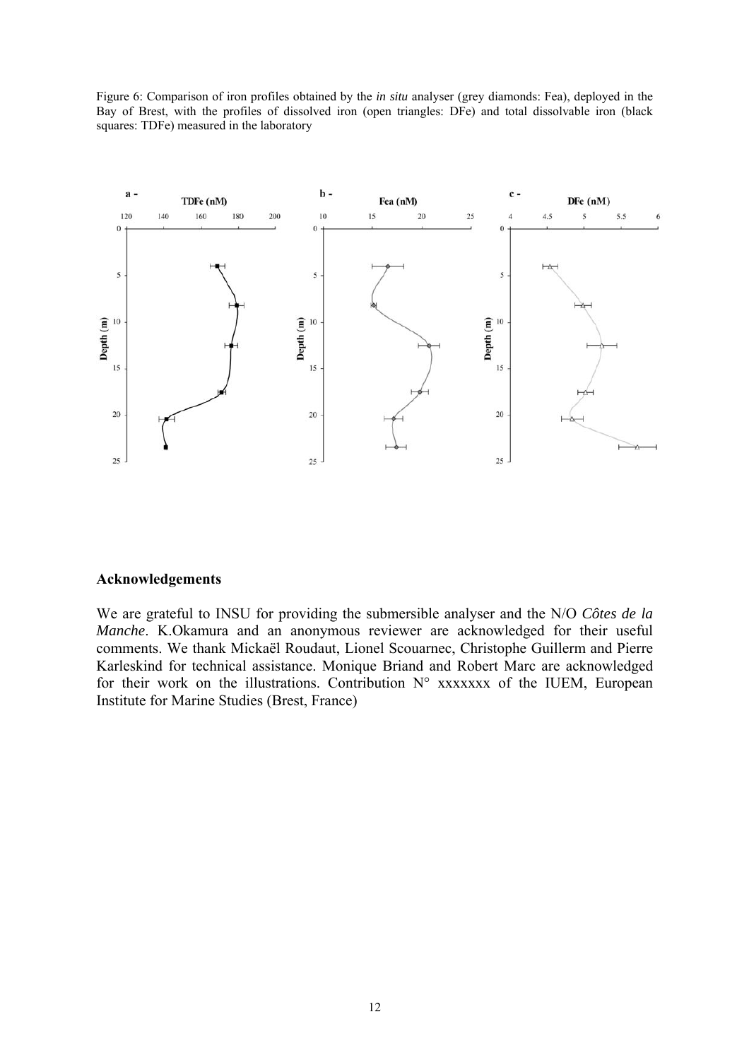Figure 6: Comparison of iron profiles obtained by the *in situ* analyser (grey diamonds: Fea), deployed in the Bay of Brest, with the profiles of dissolved iron (open triangles: DFe) and total dissolvable iron (black squares: TDFe) measured in the laboratory



#### **Acknowledgements**

We are grateful to INSU for providing the submersible analyser and the N/O *Côtes de la Manche*. K.Okamura and an anonymous reviewer are acknowledged for their useful comments. We thank Mickaël Roudaut, Lionel Scouarnec, Christophe Guillerm and Pierre Karleskind for technical assistance. Monique Briand and Robert Marc are acknowledged for their work on the illustrations. Contribution  $N^{\circ}$  xxxxxxx of the IUEM, European Institute for Marine Studies (Brest, France)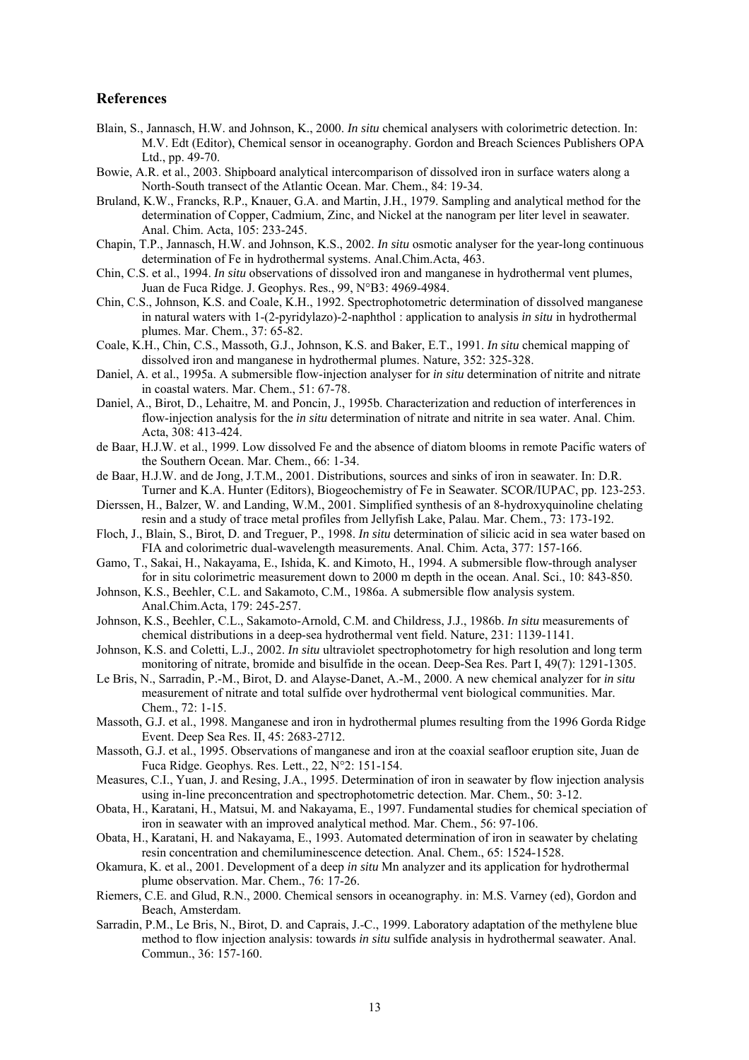#### **References**

- Blain, S., Jannasch, H.W. and Johnson, K., 2000. *In situ* chemical analysers with colorimetric detection. In: M.V. Edt (Editor), Chemical sensor in oceanography. Gordon and Breach Sciences Publishers OPA Ltd., pp. 49-70.
- Bowie, A.R. et al., 2003. Shipboard analytical intercomparison of dissolved iron in surface waters along a North-South transect of the Atlantic Ocean. Mar. Chem., 84: 19-34.
- Bruland, K.W., Francks, R.P., Knauer, G.A. and Martin, J.H., 1979. Sampling and analytical method for the determination of Copper, Cadmium, Zinc, and Nickel at the nanogram per liter level in seawater. Anal. Chim. Acta, 105: 233-245.
- Chapin, T.P., Jannasch, H.W. and Johnson, K.S., 2002. *In situ* osmotic analyser for the year-long continuous determination of Fe in hydrothermal systems. Anal.Chim.Acta, 463.
- Chin, C.S. et al., 1994. *In situ* observations of dissolved iron and manganese in hydrothermal vent plumes, Juan de Fuca Ridge. J. Geophys. Res., 99, N°B3: 4969-4984.
- Chin, C.S., Johnson, K.S. and Coale, K.H., 1992. Spectrophotometric determination of dissolved manganese in natural waters with 1-(2-pyridylazo)-2-naphthol : application to analysis *in situ* in hydrothermal plumes. Mar. Chem., 37: 65-82.
- Coale, K.H., Chin, C.S., Massoth, G.J., Johnson, K.S. and Baker, E.T., 1991. *In situ* chemical mapping of dissolved iron and manganese in hydrothermal plumes. Nature, 352: 325-328.
- Daniel, A. et al., 1995a. A submersible flow-injection analyser for *in situ* determination of nitrite and nitrate in coastal waters. Mar. Chem., 51: 67-78.
- Daniel, A., Birot, D., Lehaitre, M. and Poncin, J., 1995b. Characterization and reduction of interferences in flow-injection analysis for the *in situ* determination of nitrate and nitrite in sea water. Anal. Chim. Acta, 308: 413-424.
- de Baar, H.J.W. et al., 1999. Low dissolved Fe and the absence of diatom blooms in remote Pacific waters of the Southern Ocean. Mar. Chem., 66: 1-34.
- de Baar, H.J.W. and de Jong, J.T.M., 2001. Distributions, sources and sinks of iron in seawater. In: D.R. Turner and K.A. Hunter (Editors), Biogeochemistry of Fe in Seawater. SCOR/IUPAC, pp. 123-253.
- Dierssen, H., Balzer, W. and Landing, W.M., 2001. Simplified synthesis of an 8-hydroxyquinoline chelating resin and a study of trace metal profiles from Jellyfish Lake, Palau. Mar. Chem., 73: 173-192.
- Floch, J., Blain, S., Birot, D. and Treguer, P., 1998. *In situ* determination of silicic acid in sea water based on FIA and colorimetric dual-wavelength measurements. Anal. Chim. Acta, 377: 157-166.
- Gamo, T., Sakai, H., Nakayama, E., Ishida, K. and Kimoto, H., 1994. A submersible flow-through analyser for in situ colorimetric measurement down to 2000 m depth in the ocean. Anal. Sci., 10: 843-850.
- Johnson, K.S., Beehler, C.L. and Sakamoto, C.M., 1986a. A submersible flow analysis system. Anal.Chim.Acta, 179: 245-257.
- Johnson, K.S., Beehler, C.L., Sakamoto-Arnold, C.M. and Childress, J.J., 1986b. *In situ* measurements of chemical distributions in a deep-sea hydrothermal vent field. Nature, 231: 1139-1141.
- Johnson, K.S. and Coletti, L.J., 2002. *In situ* ultraviolet spectrophotometry for high resolution and long term monitoring of nitrate, bromide and bisulfide in the ocean. Deep-Sea Res. Part I, 49(7): 1291-1305.
- Le Bris, N., Sarradin, P.-M., Birot, D. and Alayse-Danet, A.-M., 2000. A new chemical analyzer for *in situ* measurement of nitrate and total sulfide over hydrothermal vent biological communities. Mar. Chem., 72: 1-15.
- Massoth, G.J. et al., 1998. Manganese and iron in hydrothermal plumes resulting from the 1996 Gorda Ridge Event. Deep Sea Res. II, 45: 2683-2712.
- Massoth, G.J. et al., 1995. Observations of manganese and iron at the coaxial seafloor eruption site, Juan de Fuca Ridge. Geophys. Res. Lett., 22, N°2: 151-154.
- Measures, C.I., Yuan, J. and Resing, J.A., 1995. Determination of iron in seawater by flow injection analysis using in-line preconcentration and spectrophotometric detection. Mar. Chem., 50: 3-12.
- Obata, H., Karatani, H., Matsui, M. and Nakayama, E., 1997. Fundamental studies for chemical speciation of iron in seawater with an improved analytical method. Mar. Chem., 56: 97-106.
- Obata, H., Karatani, H. and Nakayama, E., 1993. Automated determination of iron in seawater by chelating resin concentration and chemiluminescence detection. Anal. Chem., 65: 1524-1528.
- Okamura, K. et al., 2001. Development of a deep *in situ* Mn analyzer and its application for hydrothermal plume observation. Mar. Chem., 76: 17-26.
- Riemers, C.E. and Glud, R.N., 2000. Chemical sensors in oceanography. in: M.S. Varney (ed), Gordon and Beach, Amsterdam.
- Sarradin, P.M., Le Bris, N., Birot, D. and Caprais, J.-C., 1999. Laboratory adaptation of the methylene blue method to flow injection analysis: towards *in situ* sulfide analysis in hydrothermal seawater. Anal. Commun., 36: 157-160.